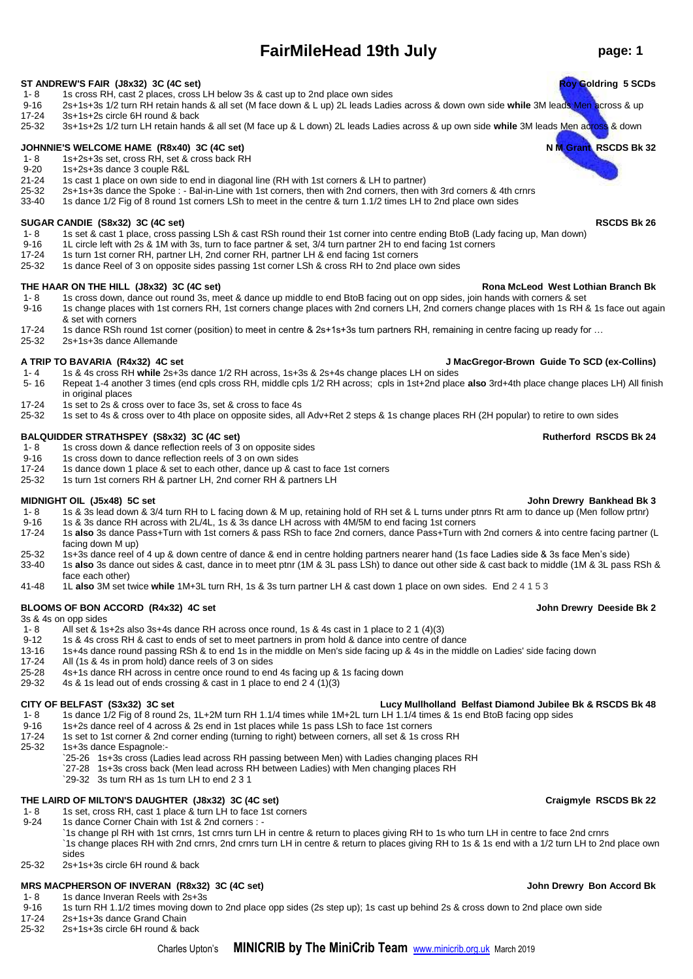# **FairMileHead 19th July page: 1**

- **ST ANDREW'S FAIR (J8x32) 3C (4C set)**<br>1- 8 1s cross RH, cast 2 places, cross LH below 3s & cast up to 2nd place own sides<br>1- 8 1s cross RH, cast 2 places, cross LH below 3s & cast up to 2nd place own sides 1- 8 1s cross RH, cast 2 places, cross LH below 3s & cast up to 2nd place own sides<br>9-16 2s+1s+3s 1/2 turn RH retain hands & all set (M face down & L up) 2L leads Ladio
- 9-16 2s+1s+3s 1/2 turn RH retain hands & all set (M face down & L up) 2L leads Ladies across & down own side **while** 3M leads Men across & up
- 17-24 3s+1s+2s circle 6H round & back
- 25-32 3s+1s+2s 1/2 turn LH retain hands & all set (M face up & L down) 2L leads Ladies across & up own side **while** 3M leads Men across & down

## **JOHNNIE'S WELCOME HAME (R8x40) 3C (4C set) N M Grant RSCDS Bk 32**

- 1- 8 1s+2s+3s set, cross RH, set & cross back RH
- 9-20 1s+2s+3s dance 3 couple R&L<br>21-24 1s cast 1 place on own side to
- 1s cast 1 place on own side to end in diagonal line (RH with 1st corners & LH to partner)
- 25-32 2s+1s+3s dance the Spoke : Bal-in-Line with 1st corners, then with 2nd corners, then with 3rd corners & 4th crnrs

33-40 1s dance 1/2 Fig of 8 round 1st corners LSh to meet in the centre & turn 1.1/2 times LH to 2nd place own sides

### **SUGAR CANDIE (S8x32) 3C (4C set) RSCDS Bk 26**

- 1- 8 1s set & cast 1 place, cross passing LSh & cast RSh round their 1st corner into centre ending BtoB (Lady facing up, Man down)
- 9-16 1L circle left with 2s & 1M with 3s, turn to face partner & set, 3/4 turn partner 2H to end facing 1st corners<br>17-24 1s turn 1st corner RH, partner LH, 2nd corner RH, partner LH & end facing 1st corners
- 1s turn 1st corner RH, partner LH, 2nd corner RH, partner LH & end facing 1st corners
- 25-32 1s dance Reel of 3 on opposite sides passing 1st corner LSh & cross RH to 2nd place own sides

- **THE HAAR ON THE HILL (J8x32) 3C (4C set)**<br>1-8 1s cross down, dance out round 3s, meet & dance up middle to end BtoB facing out on opp sides, join hands with corners & set 1s cross down, dance out round 3s, meet & dance up middle to end BtoB facing out on opp sides, join hands with corners & set
- 9-16 1s change places with 1st corners RH, 1st corners change places with 2nd corners LH, 2nd corners change places with 1s RH & 1s face out again & set with corners
- 17-24 1s dance RSh round 1st corner (position) to meet in centre & 2s+1s+3s turn partners RH, remaining in centre facing up ready for …
- 25-32 2s+1s+3s dance Allemande

- **A TRIP TO BAVARIA (R4x32) 4C set J MacGregor-Brown Guide To SCD (ex-Collins)** 1- 4 1s & 4s cross RH **while** 2s+3s dance 1/2 RH across, 1s+3s & 2s+4s change places LH on sides
- 5- 16 Repeat 1-4 another 3 times (end cpls cross RH, middle cpls 1/2 RH across; cpls in 1st+2nd place **also** 3rd+4th place change places LH) All finish in original places
- 17-24 1s set to 2s & cross over to face 3s, set & cross to face 4s<br>25-32 1s set to 4s & cross over to 4th place on opposite sides. al
- 25-32 1s set to 4s & cross over to 4th place on opposite sides, all Adv+Ret 2 steps & 1s change places RH (2H popular) to retire to own sides

### **BALQUIDDER STRATHSPEY (S8x32) 3C (4C set) Rutherford RSCDS Bk 24**

- 1- 8 1s cross down & dance reflection reels of 3 on opposite sides
- 9-16 1s cross down to dance reflection reels of 3 on own sides
- 17-24 1s dance down 1 place & set to each other, dance up & cast to face 1st corners<br>25-32 1s turn 1st corners RH & partner LH. 2nd corner RH & partners LH
- 1s turn 1st corners RH & partner LH, 2nd corner RH & partners LH

- **MIDNIGHT OIL (J5x48) 5C set John Drewry Bankhead Bk 3** 1- 8 1s & 3s lead down & 3/4 turn RH to L facing down & M up, retaining hold of RH set & L turns under ptnrs Rt arm to dance up (Men follow prtnr)
- 9-16 1s & 3s dance RH across with 2L/4L, 1s & 3s dance LH across with 4M/5M to end facing 1st corners<br>17-24 1s also 3s dance Pass+Turn with 1st corners & pass RSh to face 2nd corners, dance Pass+Turn with 1s also 3s dance Pass+Turn with 1st corners & pass RSh to face 2nd corners, dance Pass+Turn with 2nd corners & into centre facing partner (L
- facing down M up)
- 25-32 1s+3s dance reel of 4 up & down centre of dance & end in centre holding partners nearer hand (1s face Ladies side & 3s face Men's side)<br>33-40 1s also 3s dance out sides & cast, dance in to meet ptnr (1M & 3L pass LSh
	- 33-40 1s **also** 3s dance out sides & cast, dance in to meet ptnr (1M & 3L pass LSh) to dance out other side & cast back to middle (1M & 3L pass RSh & face each other)
- 41-48 1L **also** 3M set twice **while** 1M+3L turn RH, 1s & 3s turn partner LH & cast down 1 place on own sides. End 2 4 1 5 3

### **BLOOMS OF BON ACCORD (R4x32) 4C set John Drewry Deeside Bk 2**

# 3s & 4s on opp sides<br>1-8 All set & 1s

- All set & 1s+2s also 3s+4s dance RH across once round, 1s & 4s cast in 1 place to 2 1 (4)(3)
- 9-12 1s & 4s cross RH & cast to ends of set to meet partners in prom hold & dance into centre of dance<br>13-16 15+4s dance round passing RSh & to end 1s in the middle on Men's side facing up & 4s in the midd
- 13-16 1s+4s dance round passing RSh & to end 1s in the middle on Men's side facing up & 4s in the middle on Ladies' side facing down
- 17-24 All (1s & 4s in prom hold) dance reels of 3 on sides
- 25-28 4s+1s dance RH across in centre once round to end 4s facing up & 1s facing down<br>29-32 4s & 1s lead out of ends crossing & cast in 1 place to end 2.4 (1)(3)
- 4s & 1s lead out of ends crossing & cast in 1 place to end 2  $\frac{1}{4}$  (1)(3)

### **CITY OF BELFAST (S3x32) 3C set Lucy Mullholland Belfast Diamond Jubilee Bk & RSCDS Bk 48**

- 
- 1- 8 1s dance 1/2 Fig of 8 round 2s, 1L+2M turn RH 1.1/4 times while 1M+2L turn LH 1.1/4 times & 1s end BtoB facing opp sides 1.16 1.16 1.16 1.174 times & 1s end BtoB facing opp sides 9-16 1s+2s dance reel of 4 across & 2s end in 1st places while 1s pass LSh to face 1st corners
- 17-24 1s set to 1st corner & 2nd corner ending (turning to right) between corners, all set & 1s cross RH<br>25-32 1s+3s dance Espagnole:-
- 1s+3s dance Espagnole:-
	- `25-26 1s+3s cross (Ladies lead across RH passing between Men) with Ladies changing places RH
		- `27-28 1s+3s cross back (Men lead across RH between Ladies) with Men changing places RH
	- `29-32 3s turn RH as 1s turn LH to end 2 3 1

# THE LAIRD OF MILTON'S DAUGHTER (J8x32) 3C (4C set)<br> **Craigmyle RSCDS Bk 22**

- 1- 8 1s set, cross RH, cast 1 place & turn LH to face 1st corners<br>9-24 1s dance Corner Chain with 1st & 2nd corners : -
- 1s dance Corner Chain with 1st & 2nd corners : -

`1s change pl RH with 1st crnrs, 1st crnrs turn LH in centre & return to places giving RH to 1s who turn LH in centre to face 2nd crnrs `1s change places RH with 2nd crnrs, 2nd crnrs turn LH in centre & return to places giving RH to 1s & 1s end with a 1/2 turn LH to 2nd place own sides

25-32 2s+1s+3s circle 6H round & back

## **MRS MACPHERSON OF INVERAN (R8x32) 3C (4C set) John Drewry Bon Accord Bk**

- 1- 8 1s dance Inveran Reels with 2s+3s<br>9-16 1s turn RH 1.1/2 times moving dow
- 9-16 1s turn RH 1.1/2 times moving down to 2nd place opp sides (2s step up); 1s cast up behind 2s & cross down to 2nd place own side<br>17-24 2s+1s+3s dance Grand Chain 2s+1s+3s dance Grand Chain
- 25-32 2s+1s+3s circle 6H round & back
	-

- 
-